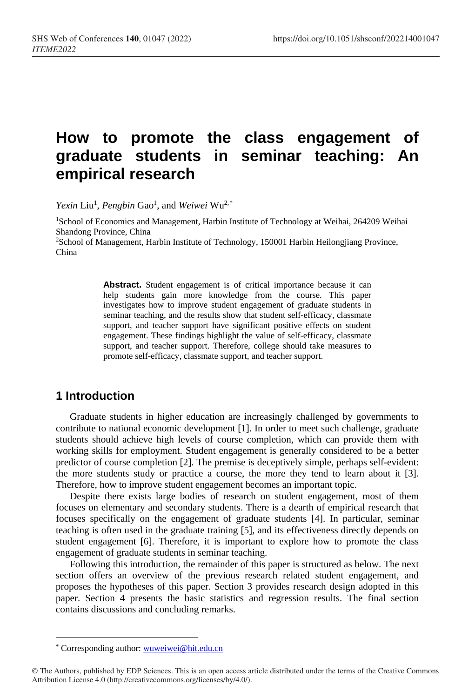# **How to promote the class engagement of graduate students in seminar teaching: An empirical research**

Yexin Liu<sup>1</sup>, Pengbin Gao<sup>1</sup>, and Weiwei Wu<sup>2,[\\*](#page-0-0)</sup>

<sup>1</sup>School of Economics and Management, Harbin Institute of Technology at Weihai, 264209 Weihai Shandong Province, China

2School of Management, Harbin Institute of Technology, 150001 Harbin Heilongjiang Province, China

> Abstract. Student engagement is of critical importance because it can help students gain more knowledge from the course. This paper investigates how to improve student engagement of graduate students in seminar teaching, and the results show that student self-efficacy, classmate support, and teacher support have significant positive effects on student engagement. These findings highlight the value of self-efficacy, classmate support, and teacher support. Therefore, college should take measures to promote self-efficacy, classmate support, and teacher support.

## **1 Introduction**

Graduate students in higher education are increasingly challenged by governments to contribute to national economic development [1]. In order to meet such challenge, graduate students should achieve high levels of course completion, which can provide them with working skills for employment. Student engagement is generally considered to be a better predictor of course completion [2]. The premise is deceptively simple, perhaps self-evident: the more students study or practice a course, the more they tend to learn about it [3]. Therefore, how to improve student engagement becomes an important topic.

Despite there exists large bodies of research on student engagement, most of them focuses on elementary and secondary students. There is a dearth of empirical research that focuses specifically on the engagement of graduate students [4]. In particular, seminar teaching is often used in the graduate training [5], and its effectiveness directly depends on student engagement [6]. Therefore, it is important to explore how to promote the class engagement of graduate students in seminar teaching.

Following this introduction, the remainder of this paper is structured as below. The next section offers an overview of the previous research related student engagement, and proposes the hypotheses of this paper. Section 3 provides research design adopted in this paper. Section 4 presents the basic statistics and regression results. The final section contains discussions and concluding remarks.

 $\overline{a}$ 

<sup>\*</sup> Corresponding author: wuweiwei@hit.edu.cn

<span id="page-0-0"></span><sup>©</sup> The Authors, published by EDP Sciences. This is an open access article distributed under the terms of the Creative Commons Attribution License 4.0 (http://creativecommons.org/licenses/by/4.0/).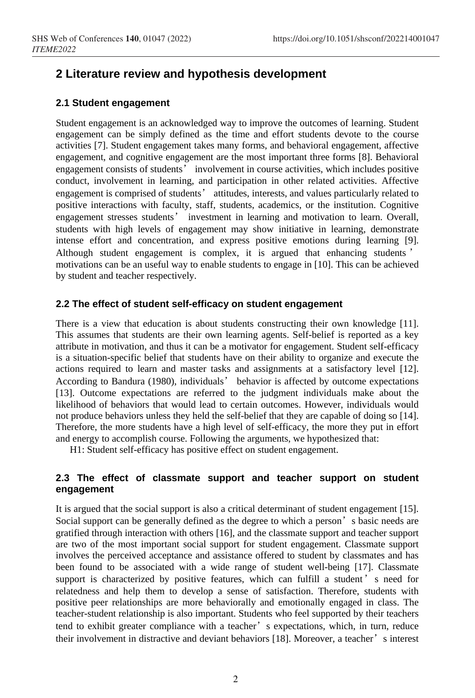# **2 Literature review and hypothesis development**

#### **2.1 Student engagement**

Student engagement is an acknowledged way to improve the outcomes of learning. Student engagement can be simply defined as the time and effort students devote to the course activities [7]. Student engagement takes many forms, and behavioral engagement, affective engagement, and cognitive engagement are the most important three forms [8]. Behavioral engagement consists of students' involvement in course activities, which includes positive conduct, involvement in learning, and participation in other related activities. Affective engagement is comprised of students' attitudes, interests, and values particularly related to positive interactions with faculty, staff, students, academics, or the institution. Cognitive engagement stresses students' investment in learning and motivation to learn. Overall, students with high levels of engagement may show initiative in learning, demonstrate intense effort and concentration, and express positive emotions during learning [9]. Although student engagement is complex, it is argued that enhancing students ' motivations can be an useful way to enable students to engage in [10]. This can be achieved by student and teacher respectively.

#### **2.2 The effect of student self-efficacy on student engagement**

There is a view that education is about students constructing their own knowledge [11]. This assumes that students are their own learning agents. Self-belief is reported as a key attribute in motivation, and thus it can be a motivator for engagement. Student self-efficacy is a situation-specific belief that students have on their ability to organize and execute the actions required to learn and master tasks and assignments at a satisfactory level [12]. According to Bandura (1980), individuals' behavior is affected by outcome expectations [13]. Outcome expectations are referred to the judgment individuals make about the likelihood of behaviors that would lead to certain outcomes. However, individuals would not produce behaviors unless they held the self-belief that they are capable of doing so [14]. Therefore, the more students have a high level of self-efficacy, the more they put in effort and energy to accomplish course. Following the arguments, we hypothesized that:

H1: Student self-efficacy has positive effect on student engagement.

#### **2.3 The effect of classmate support and teacher support on student engagement**

It is argued that the social support is also a critical determinant of student engagement [15]. Social support can be generally defined as the degree to which a person's basic needs are gratified through interaction with others [16], and the classmate support and teacher support are two of the most important social support for student engagement. Classmate support involves the perceived acceptance and assistance offered to student by classmates and has been found to be associated with a wide range of student well-being [17]. Classmate support is characterized by positive features, which can fulfill a student' s need for relatedness and help them to develop a sense of satisfaction. Therefore, students with positive peer relationships are more behaviorally and emotionally engaged in class. The teacher-student relationship is also important. Students who feel supported by their teachers tend to exhibit greater compliance with a teacher' s expectations, which, in turn, reduce their involvement in distractive and deviant behaviors [18]. Moreover, a teacher's interest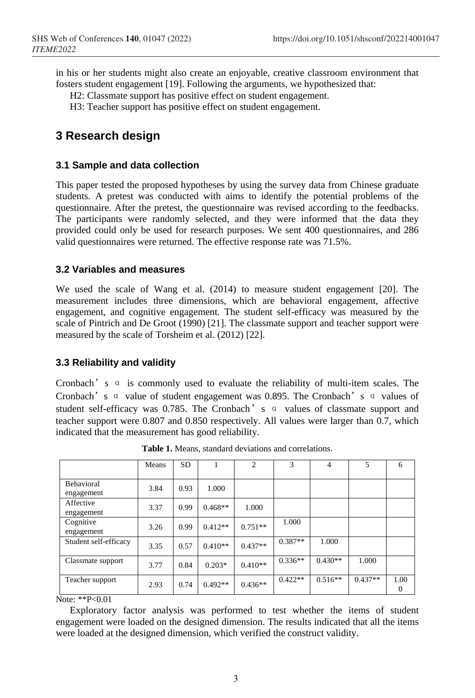in his or her students might also create an enjoyable, creative classroom environment that fosters student engagement [19]. Following the arguments, we hypothesized that:

H2: Classmate support has positive effect on student engagement.

H3: Teacher support has positive effect on student engagement.

# **3 Research design**

#### **3.1 Sample and data collection**

This paper tested the proposed hypotheses by using the survey data from Chinese graduate students. A pretest was conducted with aims to identify the potential problems of the questionnaire. After the pretest, the questionnaire was revised according to the feedbacks. The participants were randomly selected, and they were informed that the data they provided could only be used for research purposes. We sent 400 questionnaires, and 286 valid questionnaires were returned. The effective response rate was 71.5%.

#### **3.2 Variables and measures**

We used the scale of Wang et al. (2014) to measure student engagement [20]. The measurement includes three dimensions, which are behavioral engagement, affective engagement, and cognitive engagement. The student self-efficacy was measured by the scale of Pintrich and De Groot (1990) [21]. The classmate support and teacher support were measured by the scale of Torsheim et al. (2012) [22].

#### **3.3 Reliability and validity**

Cronbach's α is commonly used to evaluate the reliability of multi-item scales. The Cronbach's α value of student engagement was 0.895. The Cronbach's α values of student self-efficacy was 0.785. The Cronbach's α values of classmate support and teacher support were 0.807 and 0.850 respectively. All values were larger than 0.7, which indicated that the measurement has good reliability.

|                          | Means | SD   |           | $\overline{c}$ | 3         | 4         | 5         | 6         |
|--------------------------|-------|------|-----------|----------------|-----------|-----------|-----------|-----------|
| Behavioral<br>engagement | 3.84  | 0.93 | 1.000     |                |           |           |           |           |
| Affective<br>engagement  | 3.37  | 0.99 | $0.468**$ | 1.000          |           |           |           |           |
| Cognitive<br>engagement  | 3.26  | 0.99 | $0.412**$ | $0.751**$      | 1.000     |           |           |           |
| Student self-efficacy    | 3.35  | 0.57 | $0.410**$ | $0.437**$      | $0.387**$ | 1.000     |           |           |
| Classmate support        | 3.77  | 0.84 | $0.203*$  | $0.410**$      | $0.336**$ | $0.430**$ | 1.000     |           |
| Teacher support          | 2.93  | 0.74 | $0.492**$ | $0.436**$      | $0.422**$ | $0.516**$ | $0.437**$ | 1.00<br>0 |

**Table 1.** Means, standard deviations and correlations.

Note: \*\*P<0.01

Exploratory factor analysis was performed to test whether the items of student engagement were loaded on the designed dimension. The results indicated that all the items were loaded at the designed dimension, which verified the construct validity.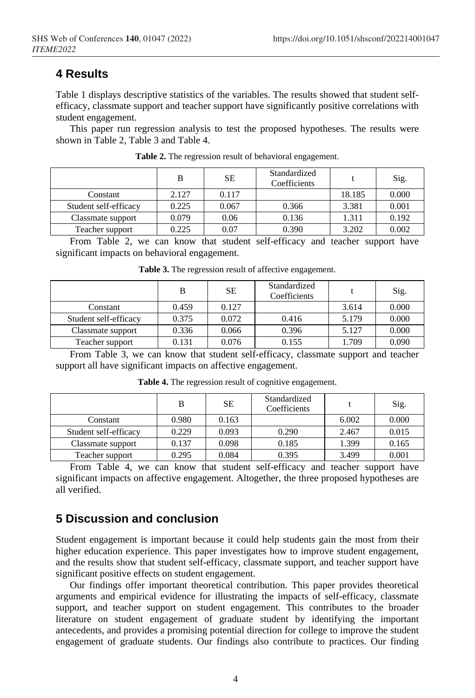### **4 Results**

Table 1 displays descriptive statistics of the variables. The results showed that student selfefficacy, classmate support and teacher support have significantly positive correlations with student engagement.

This paper run regression analysis to test the proposed hypotheses. The results were shown in Table 2, Table 3 and Table 4.

|                       | B     | SЕ    | Standardized<br>Coefficients |        | Sig.  |
|-----------------------|-------|-------|------------------------------|--------|-------|
| Constant              | 2.127 | 0.117 |                              | 18.185 | 0.000 |
| Student self-efficacy | 0.225 | 0.067 | 0.366                        | 3.381  | 0.001 |
| Classmate support     | 0.079 | 0.06  | 0.136                        | 1.311  | 0.192 |
| Teacher support       | 0.225 | 0.07  | 0.390                        | 3.202  | 0.002 |

**Table 2.** The regression result of behavioral engagement.

From Table 2, we can know that student self-efficacy and teacher support have significant impacts on behavioral engagement.

|                       | В     | SE    | Standardized<br>Coefficients |       | Sig.  |
|-----------------------|-------|-------|------------------------------|-------|-------|
| Constant              | 0.459 | 0.127 |                              | 3.614 | 0.000 |
| Student self-efficacy | 0.375 | 0.072 | 0.416                        | 5.179 | 0.000 |
| Classmate support     | 0.336 | 0.066 | 0.396                        | 5.127 | 0.000 |
| Teacher support       | 0.131 | 0.076 | 0.155                        | 1.709 | 0.090 |

**Table 3.** The regression result of affective engagement.

From Table 3, we can know that student self-efficacy, classmate support and teacher support all have significant impacts on affective engagement.

|                       | В     | SЕ    | Standardized<br>Coefficients |       | Sig.  |
|-----------------------|-------|-------|------------------------------|-------|-------|
| Constant              | 0.980 | 0.163 |                              | 6.002 | 0.000 |
| Student self-efficacy | 0.229 | 0.093 | 0.290                        | 2.467 | 0.015 |
| Classmate support     | 0.137 | 0.098 | 0.185                        | 1.399 | 0.165 |
| Teacher support       | 0.295 | 0.084 | 0.395                        | 3.499 | 0.001 |

**Table 4.** The regression result of cognitive engagement.

From Table 4, we can know that student self-efficacy and teacher support have significant impacts on affective engagement. Altogether, the three proposed hypotheses are all verified.

#### **5 Discussion and conclusion**

Student engagement is important because it could help students gain the most from their higher education experience. This paper investigates how to improve student engagement, and the results show that student self-efficacy, classmate support, and teacher support have significant positive effects on student engagement.

Our findings offer important theoretical contribution. This paper provides theoretical arguments and empirical evidence for illustrating the impacts of self-efficacy, classmate support, and teacher support on student engagement. This contributes to the broader literature on student engagement of graduate student by identifying the important antecedents, and provides a promising potential direction for college to improve the student engagement of graduate students. Our findings also contribute to practices. Our finding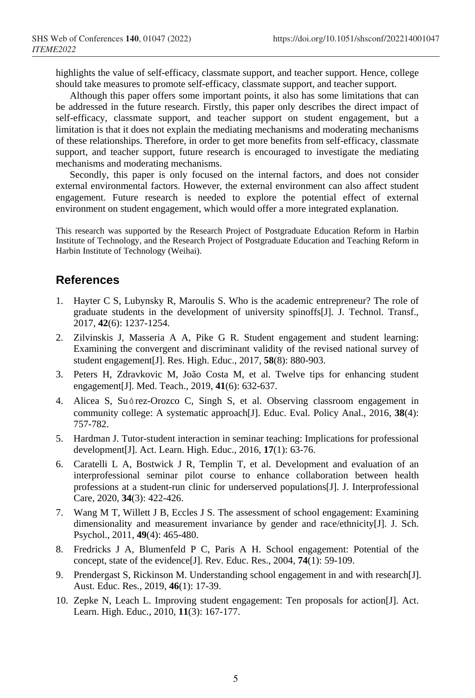highlights the value of self-efficacy, classmate support, and teacher support. Hence, college should take measures to promote self-efficacy, classmate support, and teacher support.

Although this paper offers some important points, it also has some limitations that can be addressed in the future research. Firstly, this paper only describes the direct impact of self-efficacy, classmate support, and teacher support on student engagement, but a limitation is that it does not explain the mediating mechanisms and moderating mechanisms of these relationships. Therefore, in order to get more benefits from self-efficacy, classmate support, and teacher support, future research is encouraged to investigate the mediating mechanisms and moderating mechanisms.

Secondly, this paper is only focused on the internal factors, and does not consider external environmental factors. However, the external environment can also affect student engagement. Future research is needed to explore the potential effect of external environment on student engagement, which would offer a more integrated explanation.

This research was supported by the Research Project of Postgraduate Education Reform in Harbin Institute of Technology, and the Research Project of Postgraduate Education and Teaching Reform in Harbin Institute of Technology (Weihai).

## **References**

- 1. Hayter C S, Lubynsky R, Maroulis S. Who is the academic entrepreneur? The role of graduate students in the development of university spinoffs[J]. J. Technol. Transf., 2017, **42**(6): 1237-1254.
- 2. Zilvinskis J, Masseria A A, Pike G R. Student engagement and student learning: Examining the convergent and discriminant validity of the revised national survey of student engagement[J]. Res. High. Educ., 2017, **58**(8): 880-903.
- 3. Peters H, Zdravkovic M, João Costa M, et al. Twelve tips for enhancing student engagement[J]. Med. Teach., 2019, **41**(6): 632-637.
- 4. Alicea S, Suárez-Orozco C, Singh S, et al. Observing classroom engagement in community college: A systematic approach[J]. Educ. Eval. Policy Anal., 2016, **38**(4): 757-782.
- 5. Hardman J. Tutor-student interaction in seminar teaching: Implications for professional development[J]. Act. Learn. High. Educ., 2016, **17**(1): 63-76.
- 6. Caratelli L A, Bostwick J R, Templin T, et al. Development and evaluation of an interprofessional seminar pilot course to enhance collaboration between health professions at a student-run clinic for underserved populations[J]. J. Interprofessional Care, 2020, **34**(3): 422-426.
- 7. Wang M T, Willett J B, Eccles J S. The assessment of school engagement: Examining dimensionality and measurement invariance by gender and race/ethnicity[J]. J. Sch. Psychol., 2011, **49**(4): 465-480.
- 8. Fredricks J A, Blumenfeld P C, Paris A H. School engagement: Potential of the concept, state of the evidence[J]. Rev. Educ. Res., 2004, **74**(1): 59-109.
- 9. Prendergast S, Rickinson M. Understanding school engagement in and with research[J]. Aust. Educ. Res., 2019, **46**(1): 17-39.
- 10. Zepke N, Leach L. Improving student engagement: Ten proposals for action[J]. Act. Learn. High. Educ., 2010, **11**(3): 167-177.